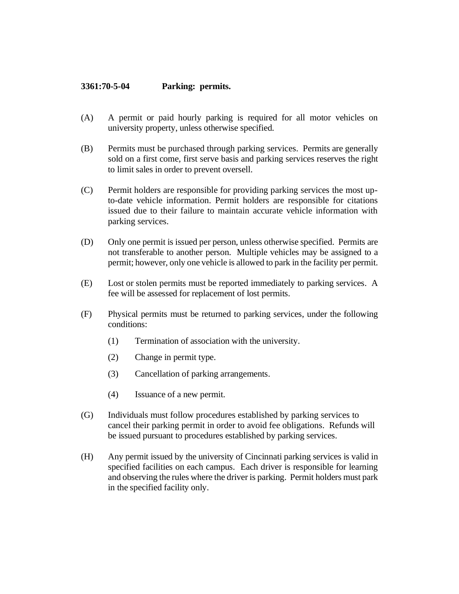## **3361:70-5-04 Parking: permits.**

- (A) A permit or paid hourly parking is required for all motor vehicles on university property, unless otherwise specified.
- (B) Permits must be purchased through parking services. Permits are generally sold on a first come, first serve basis and parking services reserves the right to limit sales in order to prevent oversell.
- (C) Permit holders are responsible for providing parking services the most upto-date vehicle information. Permit holders are responsible for citations issued due to their failure to maintain accurate vehicle information with parking services.
- (D) Only one permit is issued per person, unless otherwise specified. Permits are not transferable to another person. Multiple vehicles may be assigned to a permit; however, only one vehicle is allowed to park in the facility per permit.
- (E) Lost or stolen permits must be reported immediately to parking services. A fee will be assessed for replacement of lost permits.
- (F) Physical permits must be returned to parking services, under the following conditions:
	- (1) Termination of association with the university.
	- (2) Change in permit type.
	- (3) Cancellation of parking arrangements.
	- (4) Issuance of a new permit.
- (G) Individuals must follow procedures established by parking services to cancel their parking permit in order to avoid fee obligations. Refunds will be issued pursuant to procedures established by parking services.
- (H) Any permit issued by the university of Cincinnati parking services is valid in specified facilities on each campus. Each driver is responsible for learning and observing the rules where the driver is parking. Permit holders must park in the specified facility only.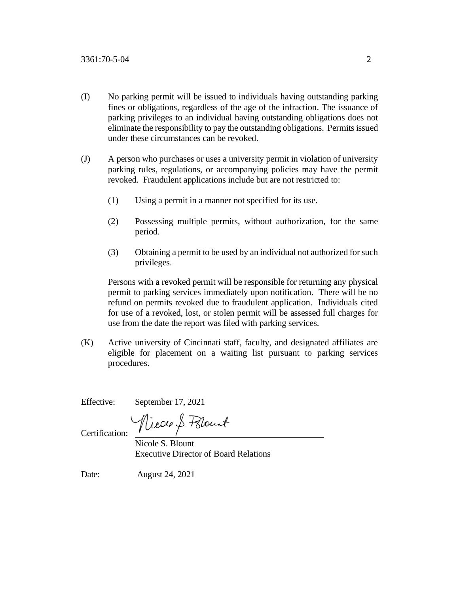- (I) No parking permit will be issued to individuals having outstanding parking fines or obligations, regardless of the age of the infraction. The issuance of parking privileges to an individual having outstanding obligations does not eliminate the responsibility to pay the outstanding obligations. Permits issued under these circumstances can be revoked.
- (J) A person who purchases or uses a university permit in violation of university parking rules, regulations, or accompanying policies may have the permit revoked. Fraudulent applications include but are not restricted to:
	- (1) Using a permit in a manner not specified for its use.
	- (2) Possessing multiple permits, without authorization, for the same period.
	- (3) Obtaining a permit to be used by an individual not authorized for such privileges.

Persons with a revoked permit will be responsible for returning any physical permit to parking services immediately upon notification. There will be no refund on permits revoked due to fraudulent application. Individuals cited for use of a revoked, lost, or stolen permit will be assessed full charges for use from the date the report was filed with parking services.

(K) Active university of Cincinnati staff, faculty, and designated affiliates are eligible for placement on a waiting list pursuant to parking services procedures.

Effective: September 17, 2021

Nicole S. Polount

Certification:

 Nicole S. Blount Executive Director of Board Relations

Date: August 24, 2021